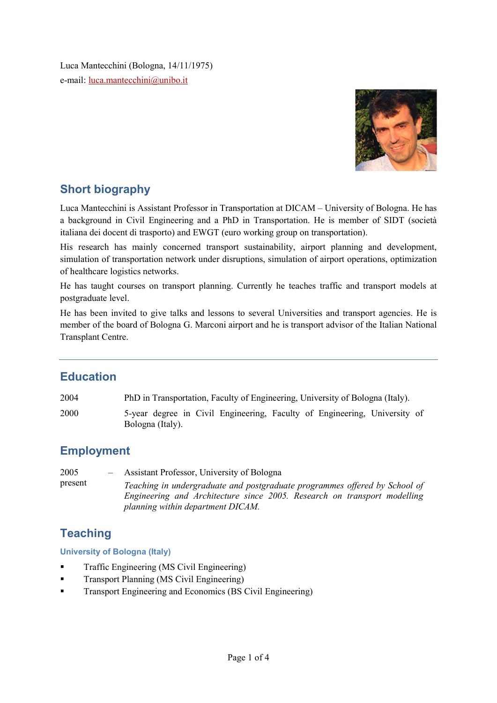Luca Mantecchini (Bologna, 14/11/1975) e-mail: luca.mantecchini@unibo.it



# Short biography

Luca Mantecchini is Assistant Professor in Transportation at DICAM – University of Bologna. He has a background in Civil Engineering and a PhD in Transportation. He is member of SIDT (società italiana dei docent di trasporto) and EWGT (euro working group on transportation).

His research has mainly concerned transport sustainability, airport planning and development, simulation of transportation network under disruptions, simulation of airport operations, optimization of healthcare logistics networks.

He has taught courses on transport planning. Currently he teaches traffic and transport models at postgraduate level.

He has been invited to give talks and lessons to several Universities and transport agencies. He is member of the board of Bologna G. Marconi airport and he is transport advisor of the Italian National Transplant Centre.

# **Education**

2004 PhD in Transportation, Faculty of Engineering, University of Bologna (Italy).

2000 5-year degree in Civil Engineering, Faculty of Engineering, University of Bologna (Italy).

# Employment

2005 – present Assistant Professor, University of Bologna

Teaching in undergraduate and postgraduate programmes offered by School of Engineering and Architecture since 2005. Research on transport modelling planning within department DICAM.

# **Teaching**

University of Bologna (Italy)

- **Traffic Engineering (MS Civil Engineering)**
- Transport Planning (MS Civil Engineering)
- Transport Engineering and Economics (BS Civil Engineering)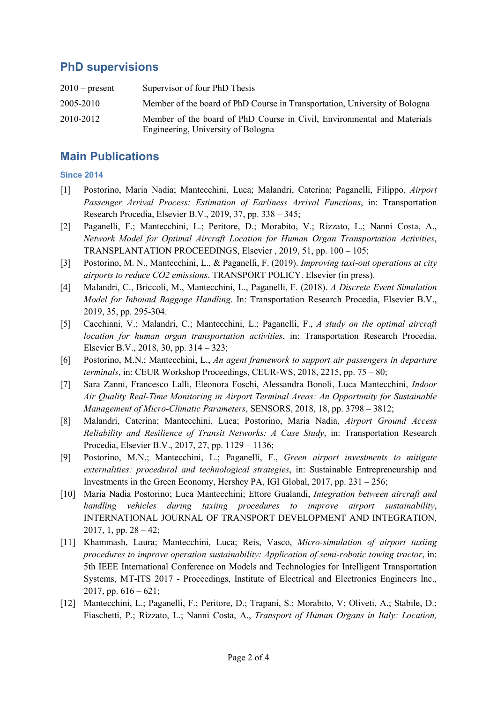### PhD supervisions

| $2010$ – present | Supervisor of four PhD Thesis                                                                                 |
|------------------|---------------------------------------------------------------------------------------------------------------|
| 2005-2010        | Member of the board of PhD Course in Transportation, University of Bologna                                    |
| 2010-2012        | Member of the board of PhD Course in Civil, Environmental and Materials<br>Engineering, University of Bologna |

#### Main Publications

#### Since 2014

- [1] Postorino, Maria Nadia; Mantecchini, Luca; Malandri, Caterina; Paganelli, Filippo, Airport Passenger Arrival Process: Estimation of Earliness Arrival Functions, in: Transportation Research Procedia, Elsevier B.V., 2019, 37, pp. 338 – 345;
- [2] Paganelli, F.; Mantecchini, L.; Peritore, D.; Morabito, V.; Rizzato, L.; Nanni Costa, A., Network Model for Optimal Aircraft Location for Human Organ Transportation Activities, TRANSPLANTATION PROCEEDINGS, Elsevier , 2019, 51, pp. 100 – 105;
- [3] Postorino, M. N., Mantecchini, L., & Paganelli, F. (2019). Improving taxi-out operations at city airports to reduce CO2 emissions. TRANSPORT POLICY. Elsevier (in press).
- [4] Malandri, C., Briccoli, M., Mantecchini, L., Paganelli, F. (2018). A Discrete Event Simulation Model for Inbound Baggage Handling. In: Transportation Research Procedia, Elsevier B.V., 2019, 35, pp. 295-304.
- [5] Cacchiani, V.; Malandri, C.; Mantecchini, L.; Paganelli, F., A study on the optimal aircraft location for human organ transportation activities, in: Transportation Research Procedia, Elsevier B.V., 2018, 30, pp. 314 – 323;
- [6] Postorino, M.N.; Mantecchini, L., An agent framework to support air passengers in departure terminals, in: CEUR Workshop Proceedings, CEUR-WS, 2018, 2215, pp. 75 – 80;
- [7] Sara Zanni, Francesco Lalli, Eleonora Foschi, Alessandra Bonoli, Luca Mantecchini, Indoor Air Quality Real-Time Monitoring in Airport Terminal Areas: An Opportunity for Sustainable Management of Micro-Climatic Parameters, SENSORS, 2018, 18, pp. 3798 – 3812;
- [8] Malandri, Caterina; Mantecchini, Luca; Postorino, Maria Nadia, Airport Ground Access Reliability and Resilience of Transit Networks: A Case Study, in: Transportation Research Procedia, Elsevier B.V., 2017, 27, pp. 1129 – 1136;
- [9] Postorino, M.N.; Mantecchini, L.; Paganelli, F., Green airport investments to mitigate externalities: procedural and technological strategies, in: Sustainable Entrepreneurship and Investments in the Green Economy, Hershey PA, IGI Global, 2017, pp. 231 – 256;
- [10] Maria Nadia Postorino; Luca Mantecchini; Ettore Gualandi, Integration between aircraft and handling vehicles during taxiing procedures to improve airport sustainability, INTERNATIONAL JOURNAL OF TRANSPORT DEVELOPMENT AND INTEGRATION, 2017, 1, pp.  $28 - 42$ ;
- [11] Khammash, Laura; Mantecchini, Luca; Reis, Vasco, Micro-simulation of airport taxiing procedures to improve operation sustainability: Application of semi-robotic towing tractor, in: 5th IEEE International Conference on Models and Technologies for Intelligent Transportation Systems, MT-ITS 2017 - Proceedings, Institute of Electrical and Electronics Engineers Inc., 2017, pp.  $616 - 621$ ;
- [12] Mantecchini, L.; Paganelli, F.; Peritore, D.; Trapani, S.; Morabito, V; Oliveti, A.; Stabile, D.; Fiaschetti, P.; Rizzato, L.; Nanni Costa, A., Transport of Human Organs in Italy: Location,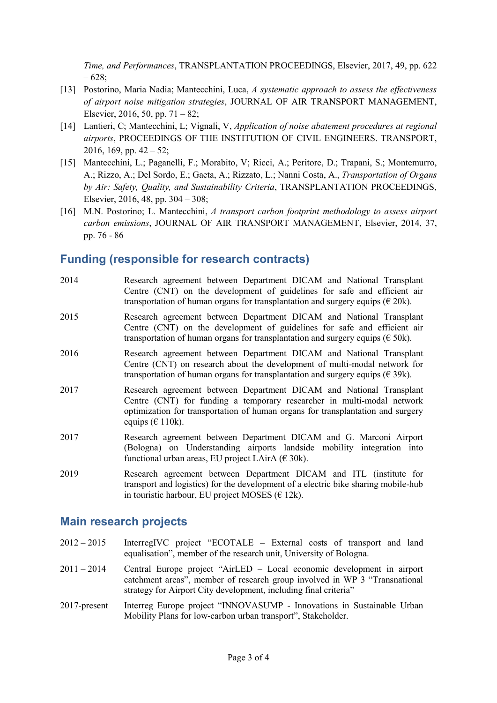Time, and Performances, TRANSPLANTATION PROCEEDINGS, Elsevier, 2017, 49, pp. 622 – 628;

- [13] Postorino, Maria Nadia; Mantecchini, Luca, A systematic approach to assess the effectiveness of airport noise mitigation strategies, JOURNAL OF AIR TRANSPORT MANAGEMENT, Elsevier, 2016, 50, pp. 71 – 82;
- [14] Lantieri, C; Mantecchini, L; Vignali, V, Application of noise abatement procedures at regional airports, PROCEEDINGS OF THE INSTITUTION OF CIVIL ENGINEERS. TRANSPORT, 2016, 169, pp.  $42 - 52$ ;
- [15] Mantecchini, L.; Paganelli, F.; Morabito, V; Ricci, A.; Peritore, D.; Trapani, S.; Montemurro, A.; Rizzo, A.; Del Sordo, E.; Gaeta, A.; Rizzato, L.; Nanni Costa, A., Transportation of Organs by Air: Safety, Quality, and Sustainability Criteria, TRANSPLANTATION PROCEEDINGS, Elsevier, 2016, 48, pp. 304 – 308;
- [16] M.N. Postorino; L. Mantecchini, A transport carbon footprint methodology to assess airport carbon emissions, JOURNAL OF AIR TRANSPORT MANAGEMENT, Elsevier, 2014, 37, pp. 76 - 86

#### Funding (responsible for research contracts)

| 2014 | Research agreement between Department DICAM and National Transplant<br>Centre (CNT) on the development of guidelines for safe and efficient air<br>transportation of human organs for transplantation and surgery equips ( $\in$ 20k).                    |
|------|-----------------------------------------------------------------------------------------------------------------------------------------------------------------------------------------------------------------------------------------------------------|
| 2015 | Research agreement between Department DICAM and National Transplant<br>Centre (CNT) on the development of guidelines for safe and efficient air<br>transportation of human organs for transplantation and surgery equips ( $\epsilon$ 50k).               |
| 2016 | Research agreement between Department DICAM and National Transplant<br>Centre (CNT) on research about the development of multi-modal network for<br>transportation of human organs for transplantation and surgery equips ( $\in$ 39k).                   |
| 2017 | Research agreement between Department DICAM and National Transplant<br>Centre (CNT) for funding a temporary researcher in multi-modal network<br>optimization for transportation of human organs for transplantation and surgery<br>equips ( $\in$ 110k). |
| 2017 | Research agreement between Department DICAM and G. Marconi Airport<br>(Bologna) on Understanding airports landside mobility integration into<br>functional urban areas, EU project LAirA ( $\in$ 30k).                                                    |

2019 Research agreement between Department DICAM and ITL (institute for transport and logistics) for the development of a electric bike sharing mobile-hub in touristic harbour, EU project MOSES ( $\epsilon$  12k).

#### Main research projects

- 2012 2015 InterregIVC project "ECOTALE External costs of transport and land equalisation", member of the research unit, University of Bologna.
- 2011 2014 Central Europe project "AirLED Local economic development in airport catchment areas", member of research group involved in WP 3 "Transnational strategy for Airport City development, including final criteria"
- 2017-present Interreg Europe project "INNOVASUMP Innovations in Sustainable Urban Mobility Plans for low-carbon urban transport", Stakeholder.